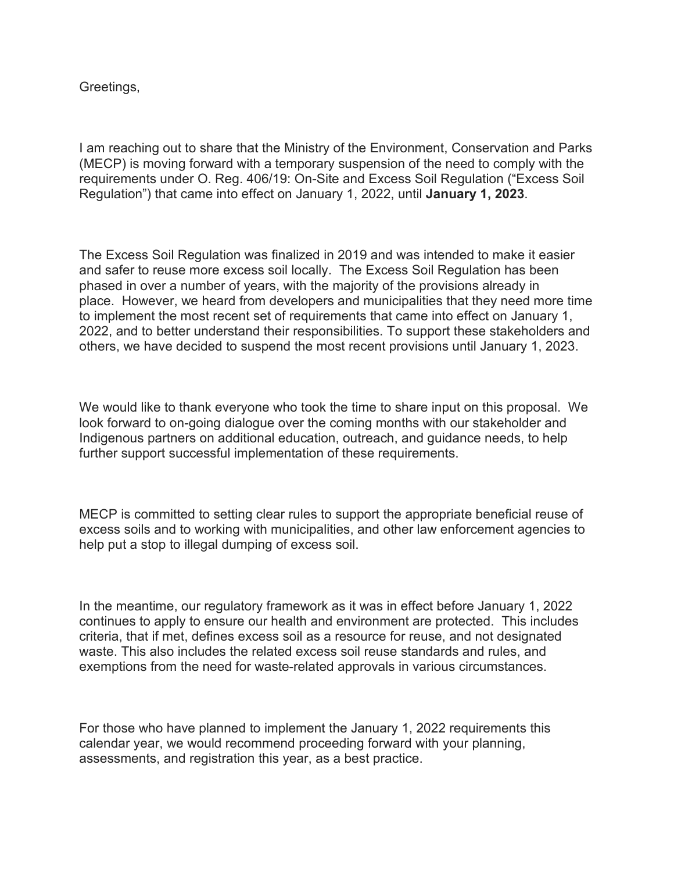Greetings,

I am reaching out to share that the Ministry of the Environment, Conservation and Parks (MECP) is moving forward with a temporary suspension of the need to comply with the requirements under O. Reg. 406/19: On-Site and Excess Soil Regulation ("Excess Soil Regulation") that came into effect on January 1, 2022, until **January 1, 2023**.

The Excess Soil Regulation was finalized in 2019 and was intended to make it easier and safer to reuse more excess soil locally. The Excess Soil Regulation has been phased in over a number of years, with the majority of the provisions already in place. However, we heard from developers and municipalities that they need more time to implement the most recent set of requirements that came into effect on January 1, 2022, and to better understand their responsibilities. To support these stakeholders and others, we have decided to suspend the most recent provisions until January 1, 2023.

We would like to thank everyone who took the time to share input on this proposal. We look forward to on-going dialogue over the coming months with our stakeholder and Indigenous partners on additional education, outreach, and guidance needs, to help further support successful implementation of these requirements.

MECP is committed to setting clear rules to support the appropriate beneficial reuse of excess soils and to working with municipalities, and other law enforcement agencies to help put a stop to illegal dumping of excess soil.

In the meantime, our regulatory framework as it was in effect before January 1, 2022 continues to apply to ensure our health and environment are protected. This includes criteria, that if met, defines excess soil as a resource for reuse, and not designated waste. This also includes the related excess soil reuse standards and rules, and exemptions from the need for waste-related approvals in various circumstances.

For those who have planned to implement the January 1, 2022 requirements this calendar year, we would recommend proceeding forward with your planning, assessments, and registration this year, as a best practice.